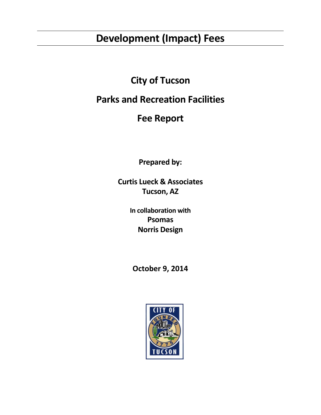# **Development (Impact) Fees**

## **City of Tucson**

## **Parks and Recreation Facilities**

## **Fee Report**

**Prepared by:**

**Curtis Lueck & Associates Tucson, AZ**

> **In collaboration with Psomas Norris Design**

**October 9, 2014**

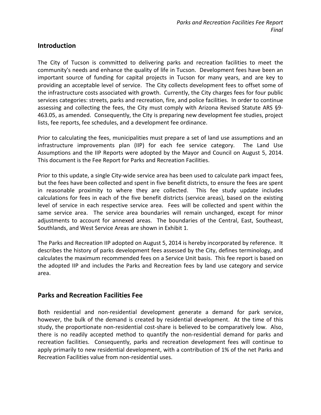#### **Introduction**

The City of Tucson is committed to delivering parks and recreation facilities to meet the community's needs and enhance the quality of life in Tucson. Development fees have been an important source of funding for capital projects in Tucson for many years, and are key to providing an acceptable level of service. The City collects development fees to offset some of the infrastructure costs associated with growth. Currently, the City charges fees for four public services categories: streets, parks and recreation, fire, and police facilities. In order to continue assessing and collecting the fees, the City must comply with Arizona Revised Statute ARS §9- 463.05, as amended. Consequently, the City is preparing new development fee studies, project lists, fee reports, fee schedules, and a development fee ordinance.

Prior to calculating the fees, municipalities must prepare a set of land use assumptions and an infrastructure improvements plan (IIP) for each fee service category. The Land Use Assumptions and the IIP Reports were adopted by the Mayor and Council on August 5, 2014. This document is the Fee Report for Parks and Recreation Facilities.

Prior to this update, a single City-wide service area has been used to calculate park impact fees, but the fees have been collected and spent in five benefit districts, to ensure the fees are spent in reasonable proximity to where they are collected. This fee study update includes calculations for fees in each of the five benefit districts (service areas), based on the existing level of service in each respective service area. Fees will be collected and spent within the same service area. The service area boundaries will remain unchanged, except for minor adjustments to account for annexed areas. The boundaries of the Central, East, Southeast, Southlands, and West Service Areas are shown in Exhibit 1.

The Parks and Recreation IIP adopted on August 5, 2014 is hereby incorporated by reference. It describes the history of parks development fees assessed by the City, defines terminology, and calculates the maximum recommended fees on a Service Unit basis. This fee report is based on the adopted IIP and includes the Parks and Recreation fees by land use category and service area.

#### **Parks and Recreation Facilities Fee**

Both residential and non-residential development generate a demand for park service, however, the bulk of the demand is created by residential development. At the time of this study, the proportionate non-residential cost-share is believed to be comparatively low. Also, there is no readily accepted method to quantify the non-residential demand for parks and recreation facilities. Consequently, parks and recreation development fees will continue to apply primarily to new residential development, with a contribution of 1% of the net Parks and Recreation Facilities value from non-residential uses.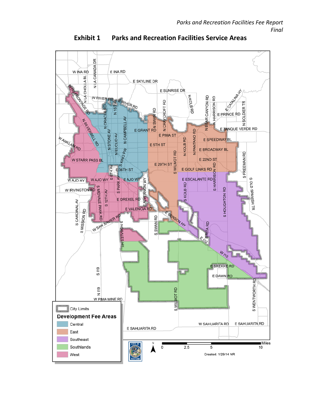

**Exhibit 1 Parks and Recreation Facilities Service Areas**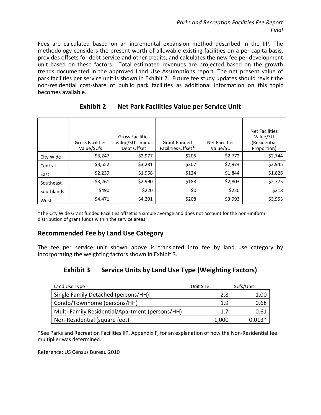Fees are calculated based on an incremental expansion method described in the IIP. The methodology considers the present worth of allowable existing facilities on a per capita basis, provides offsets for debt service and other credits, and calculates the new fee per development unit based on these factors. Total estimated revenues are projected based on the growth trends documented in the approved Land Use Assumptions report. The net present value of park facilities per service unit is shown in Exhibit 2. Future fee study updates should revisit the non-residential cost-share of public park facilities as additional information on this topic becomes available.

|            | <b>Gross Facilities</b><br>Value/SU's | <b>Gross Facilities</b><br>Value/SU's minus<br>Debt Offset | <b>Grant Funded</b><br><b>Facilities Offset*</b> | Net Facilities<br>Value/SU | Net Facilities<br>Value/SU<br>(Residential<br>Proportion) |
|------------|---------------------------------------|------------------------------------------------------------|--------------------------------------------------|----------------------------|-----------------------------------------------------------|
| City Wide  | \$3,247                               | \$2,977                                                    | \$205                                            | \$2,772                    | \$2,744                                                   |
| Central    | \$3,552                               | \$3,281                                                    | \$307                                            | \$2,974                    | \$2,945                                                   |
| East       | \$2,239                               | \$1,968                                                    | \$124                                            | \$1,844                    | \$1,826                                                   |
| Southeast  | \$3,261                               | \$2,990                                                    | \$188                                            | \$2,803                    | \$2,775                                                   |
| Southlands | \$490                                 | \$220                                                      | \$0                                              | \$220                      | \$218                                                     |
| West       | \$4,471                               | \$4,201                                                    | \$208                                            | \$3,993                    | \$3,953                                                   |

#### **Exhibit 2 Net Park Facilities Value per Service Unit**

\*The City Wide Grant funded Facilities offset is a simple average and does not account for the non-uniform distribution of grant funds within the service areas

#### **Recommended Fee by Land Use Category**

The fee per service unit shown above is translated into fee by land use category by incorporating the weighting factors shown in Exhibit 3.

## **Exhibit 3 Service Units by Land Use Type (Weighting Factors)**

| Land Use Type                                   | Unit Size | SU's/Unit |
|-------------------------------------------------|-----------|-----------|
| Single Family Detached (persons/HH)             | 2.8       | 1.00      |
| Condo/Townhome (persons/HH)                     | 1.9       | 0.68      |
| Multi-Family Residential/Apartment (persons/HH) | 1.7       | 0.61      |
| Non-Residential (square feet)                   | 1,000     | $0.013*$  |

\*See Parks and Recreation Facilities IIP, Appendix F, for an explanation of how the Non-Residential fee multiplier was determined.

Reference: US Census Bureau 2010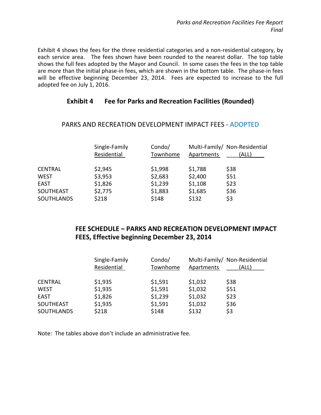Exhibit 4 shows the fees for the three residential categories and a non-residential category, by each service area. The fees shown have been rounded to the nearest dollar. The top table shows the full fees adopted by the Mayor and Council. In some cases the fees in the top table are more than the initial phase-in fees, which are shown in the bottom table. The phase-in fees will be effective beginning December 23, 2014. Fees are expected to increase to the full adopted fee on July 1, 2016.

#### **Exhibit 4 Fee for Parks and Recreation Facilities (Rounded)**

|                   | Single-Family<br>Residential | Condo/<br>Townhome | Apartments | Multi-Family/ Non-Residential<br>(ALL) |
|-------------------|------------------------------|--------------------|------------|----------------------------------------|
| <b>CENTRAL</b>    | \$2,945                      | \$1,998            | \$1,788    | \$38                                   |
| <b>WEST</b>       | \$3,953                      | \$2,683            | \$2,400    | \$51                                   |
| <b>EAST</b>       | \$1,826                      | \$1,239            | \$1,108    | \$23                                   |
| <b>SOUTHEAST</b>  | \$2,775                      | \$1,883            | \$1,685    | \$36                                   |
| <b>SOUTHLANDS</b> | \$218                        | \$148              | \$132      | \$3                                    |

#### PARKS AND RECREATION DEVELOPMENT IMPACT FEES - ADOPTED

## **FEE SCHEDULE – PARKS AND RECREATION DEVELOPMENT IMPACT FEES, Effective beginning December 23, 2014**

|                   | Single-Family<br>Residential | Condo/<br>Townhome | Apartments | Multi-Family/ Non-Residential<br>(ALL) |
|-------------------|------------------------------|--------------------|------------|----------------------------------------|
| <b>CENTRAL</b>    | \$1,935                      | \$1,591            | \$1,032    | \$38                                   |
| <b>WEST</b>       | \$1,935                      | \$1,591            | \$1,032    | \$51                                   |
| <b>EAST</b>       | \$1,826                      | \$1,239            | \$1,032    | \$23                                   |
| <b>SOUTHEAST</b>  | \$1,935                      | \$1,591            | \$1,032    | \$36                                   |
| <b>SOUTHLANDS</b> | \$218                        | \$148              | \$132      | \$3                                    |

Note: The tables above don't include an administrative fee.